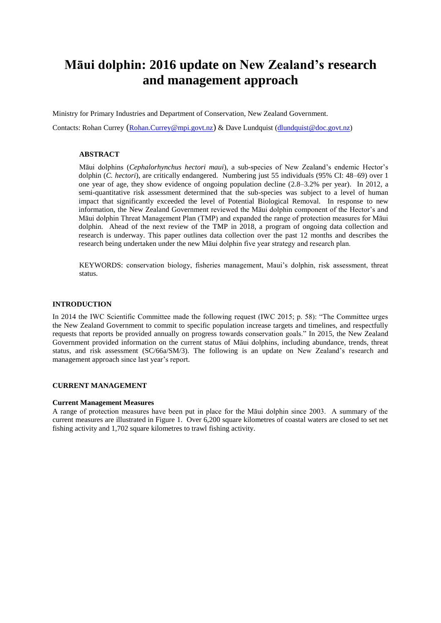# **Māui dolphin: 2016 update on New Zealand's research and management approach**

Ministry for Primary Industries and Department of Conservation, New Zealand Government.

Contacts: Rohan Currey ([Rohan.Currey@mpi.govt.nz](mailto:Rohan.Currey@mpi.govt.nz)) & Dave Lundquist [\(dlundquist@doc.govt.nz\)](mailto:dlundquist@doc.govt.nz)

# **ABSTRACT**

Māui dolphins (*Cephalorhynchus hectori maui*), a sub-species of New Zealand's endemic Hector's dolphin (*C. hectori*), are critically endangered. Numbering just 55 individuals (95% CI: 48–69) over 1 one year of age, they show evidence of ongoing population decline (2.8–3.2% per year). In 2012, a semi-quantitative risk assessment determined that the sub-species was subject to a level of human impact that significantly exceeded the level of Potential Biological Removal. In response to new information, the New Zealand Government reviewed the Māui dolphin component of the Hector's and Māui dolphin Threat Management Plan (TMP) and expanded the range of protection measures for Māui dolphin. Ahead of the next review of the TMP in 2018, a program of ongoing data collection and research is underway. This paper outlines data collection over the past 12 months and describes the research being undertaken under the new Māui dolphin five year strategy and research plan.

KEYWORDS: conservation biology, fisheries management, Maui's dolphin, risk assessment, threat status.

#### **INTRODUCTION**

In 2014 the IWC Scientific Committee made the following request (IWC 2015; p. 58): "The Committee urges the New Zealand Government to commit to specific population increase targets and timelines, and respectfully requests that reports be provided annually on progress towards conservation goals." In 2015, the New Zealand Government provided information on the current status of Māui dolphins, including abundance, trends, threat status, and risk assessment (SC/66a/SM/3). The following is an update on New Zealand's research and management approach since last year's report.

#### **CURRENT MANAGEMENT**

#### **Current Management Measures**

A range of protection measures have been put in place for the Māui dolphin since 2003. A summary of the current measures are illustrated in Figure 1. Over 6,200 square kilometres of coastal waters are closed to set net fishing activity and 1,702 square kilometres to trawl fishing activity.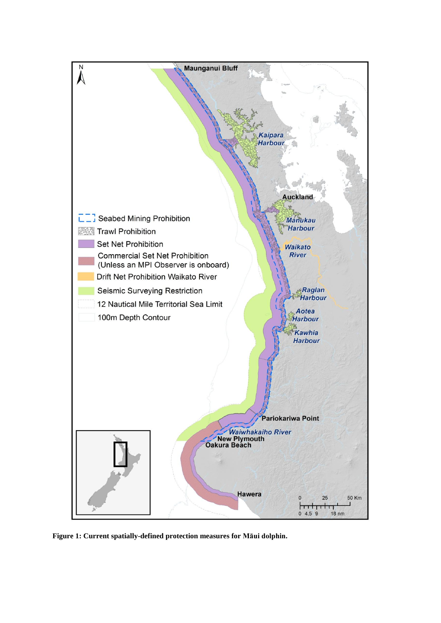

**Figure 1: Current spatially-defined protection measures for Māui dolphin.**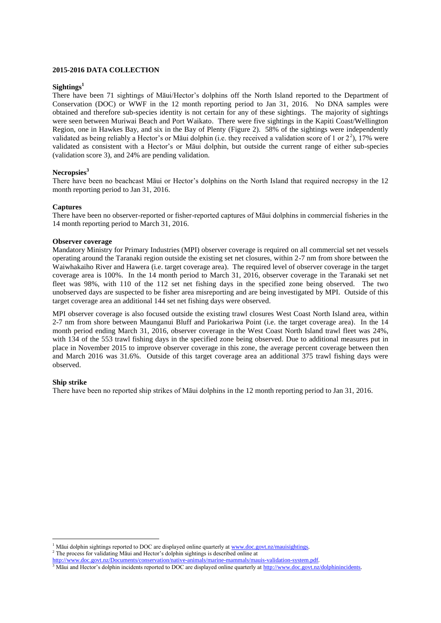### **2015-2016 DATA COLLECTION**

#### **Sightings<sup>1</sup>**

There have been 71 sightings of Māui/Hector's dolphins off the North Island reported to the Department of Conservation (DOC) or WWF in the 12 month reporting period to Jan 31, 2016. No DNA samples were obtained and therefore sub-species identity is not certain for any of these sightings. The majority of sightings were seen between Muriwai Beach and Port Waikato. There were five sightings in the Kapiti Coast/Wellington Region, one in Hawkes Bay, and six in the Bay of Plenty (Figure 2). 58% of the sightings were independently validated as being reliably a Hector's or Māui dolphin (i.e. they received a validation score of 1 or  $2^2$ ), 17% were validated as consistent with a Hector's or Māui dolphin, but outside the current range of either sub-species (validation score 3), and 24% are pending validation.

#### **Necropsies<sup>3</sup>**

There have been no beachcast Māui or Hector's dolphins on the North Island that required necropsy in the 12 month reporting period to Jan 31, 2016.

#### **Captures**

There have been no observer-reported or fisher-reported captures of Māui dolphins in commercial fisheries in the 14 month reporting period to March 31, 2016.

#### **Observer coverage**

Mandatory Ministry for Primary Industries (MPI) observer coverage is required on all commercial set net vessels operating around the Taranaki region outside the existing set net closures, within 2-7 nm from shore between the Waiwhakaiho River and Hawera (i.e. target coverage area). The required level of observer coverage in the target coverage area is 100%. In the 14 month period to March 31, 2016, observer coverage in the Taranaki set net fleet was 98%, with 110 of the 112 set net fishing days in the specified zone being observed. The two unobserved days are suspected to be fisher area misreporting and are being investigated by MPI. Outside of this target coverage area an additional 144 set net fishing days were observed.

MPI observer coverage is also focused outside the existing trawl closures West Coast North Island area, within 2-7 nm from shore between Maunganui Bluff and Pariokariwa Point (i.e. the target coverage area). In the 14 month period ending March 31, 2016, observer coverage in the West Coast North Island trawl fleet was 24%, with 134 of the 553 trawl fishing days in the specified zone being observed. Due to additional measures put in place in November 2015 to improve observer coverage in this zone, the average percent coverage between then and March 2016 was 31.6%. Outside of this target coverage area an additional 375 trawl fishing days were observed.

## **Ship strike**

 $\overline{a}$ 

There have been no reported ship strikes of Māui dolphins in the 12 month reporting period to Jan 31, 2016.

Māui dolphin sightings reported to DOC are displayed online quarterly a[t www.doc.govt.nz/mauisightings.](http://www.doc.govt.nz/mauisightings)

<sup>&</sup>lt;sup>2</sup> The process for validating Māui and Hector's dolphin sightings is described online at

[http://www.doc.govt.nz/Documents/conservation/native-animals/marine-mammals/mauis-validation-system.pdf.](http://www.doc.govt.nz/Documents/conservation/native-animals/marine-mammals/mauis-validation-system.pdf)

<sup>&</sup>lt;sup>3</sup> Māui and Hector's dolphin incidents reported to DOC are displayed online quarterly a[t http://www.doc.govt.nz/dolphinincidents.](http://www.doc.govt.nz/dolphinincidents)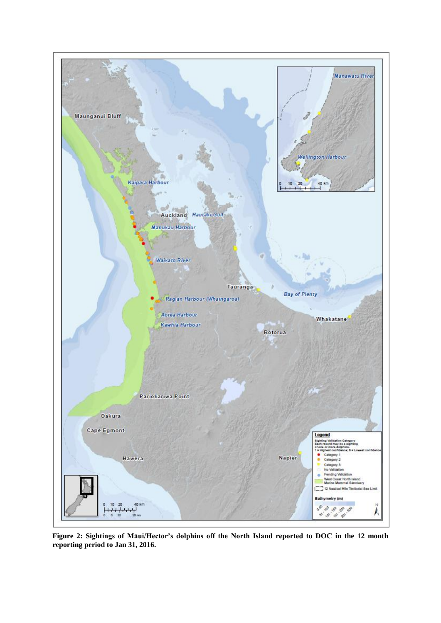

**Figure 2: Sightings of Māui/Hector's dolphins off the North Island reported to DOC in the 12 month reporting period to Jan 31, 2016.**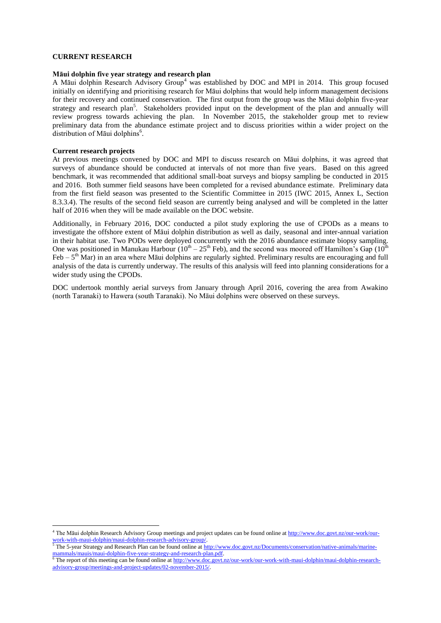#### **CURRENT RESEARCH**

#### **Māui dolphin five year strategy and research plan**

A Māui dolphin Research Advisory Group<sup>4</sup> was established by DOC and MPI in 2014. This group focused initially on identifying and prioritising research for Māui dolphins that would help inform management decisions for their recovery and continued conservation. The first output from the group was the Māui dolphin five-year strategy and research plan<sup>5</sup>. Stakeholders provided input on the development of the plan and annually will review progress towards achieving the plan. In November 2015, the stakeholder group met to review preliminary data from the abundance estimate project and to discuss priorities within a wider project on the distribution of Māui dolphins<sup>6</sup>.

#### **Current research projects**

 $\overline{a}$ 

At previous meetings convened by DOC and MPI to discuss research on Māui dolphins, it was agreed that surveys of abundance should be conducted at intervals of not more than five years. Based on this agreed benchmark, it was recommended that additional small-boat surveys and biopsy sampling be conducted in 2015 and 2016. Both summer field seasons have been completed for a revised abundance estimate. Preliminary data from the first field season was presented to the Scientific Committee in 2015 (IWC 2015, Annex L, Section 8.3.3.4). The results of the second field season are currently being analysed and will be completed in the latter half of 2016 when they will be made available on the DOC website.

Additionally, in February 2016, DOC conducted a pilot study exploring the use of CPODs as a means to investigate the offshore extent of Māui dolphin distribution as well as daily, seasonal and inter-annual variation in their habitat use. Two PODs were deployed concurrently with the 2016 abundance estimate biopsy sampling. One was positioned in Manukau Harbour ( $10^{th} - 25^{th}$  Feb), and the second was moored off Hamilton's Gap ( $10^{th}$ Feb – 5<sup>th</sup> Mar) in an area where Māui dolphins are regularly sighted. Preliminary results are encouraging and full analysis of the data is currently underway. The results of this analysis will feed into planning considerations for a wider study using the CPODs.

DOC undertook monthly aerial surveys from January through April 2016, covering the area from Awakino (north Taranaki) to Hawera (south Taranaki). No Māui dolphins were observed on these surveys.

<sup>&</sup>lt;sup>4</sup> The Māui dolphin Research Advisory Group meetings and project updates can be found online at [http://www.doc.govt.nz/our-work/our](http://www.doc.govt.nz/our-work/our-work-with-maui-dolphin/maui-dolphin-research-advisory-group/)[work-with-maui-dolphin/maui-dolphin-research-advisory-group/.](http://www.doc.govt.nz/our-work/our-work-with-maui-dolphin/maui-dolphin-research-advisory-group/)

<sup>&</sup>lt;sup>5</sup> The 5-year Strategy and Research Plan can be found online a[t http://www.doc.govt.nz/Documents/conservation/native-animals/marine](http://www.doc.govt.nz/Documents/conservation/native-animals/marine-mammals/mauis/maui-dolphin-five-year-strategy-and-research-plan.pdf)[mammals/mauis/maui-dolphin-five-year-strategy-and-research-plan.pdf.](http://www.doc.govt.nz/Documents/conservation/native-animals/marine-mammals/mauis/maui-dolphin-five-year-strategy-and-research-plan.pdf) 

<sup>&</sup>lt;sup>6</sup> The report of this meeting can be found online a[t http://www.doc.govt.nz/our-work/our-work-with-maui-dolphin/maui-dolphin-research](http://www.doc.govt.nz/our-work/our-work-with-maui-dolphin/maui-dolphin-research-advisory-group/meetings-and-project-updates/02-november-2015/)[advisory-group/meetings-and-project-updates/02-november-2015/.](http://www.doc.govt.nz/our-work/our-work-with-maui-dolphin/maui-dolphin-research-advisory-group/meetings-and-project-updates/02-november-2015/)